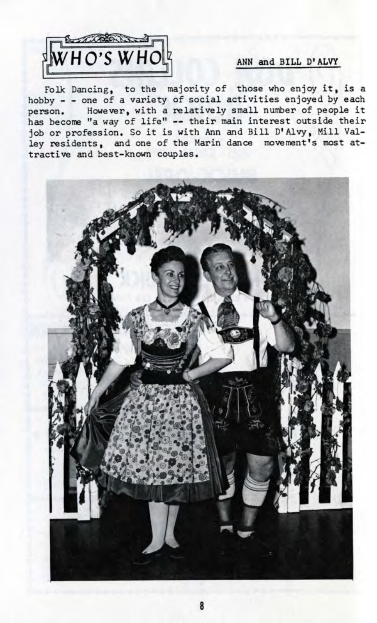

## ANN and BILL D'ALVY

 $\overline{\text{F}}$  Dancing, to the majority of those who enjoy it, is a hobby - - one of a variety of social activities enjoyed by each person. However, with a relatively small number of people it has become "a way of life" -- their main interest outside their job or profession. So it is with Ann and Bill D'Alvy, Mill Valley residents, and one of the Marin dance movement's most attractive and best-known couples.

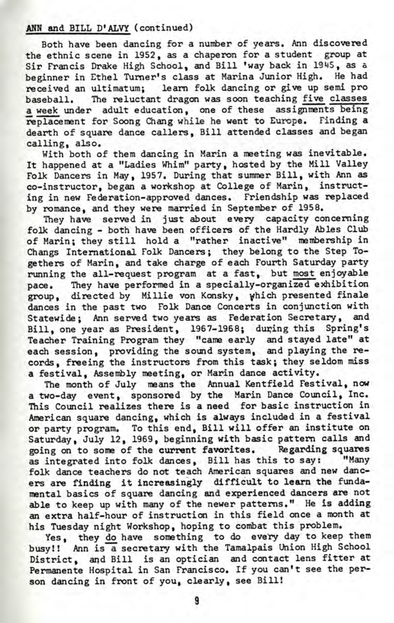## ANN and BILL D'ALVY (continued)

Both have been dancing for a number of years. Ann discovered the ethnic scene in 1952, as a chaperon for a student group at Sir Francis Drake High School, and Bill 'way back in 1945, as a beginner in Ethel Turner's class at Marina Junior High. He had received an ultimatum; learn folk dancing or give up semi pro baseball. The reluctant dragon was soon teaching five classes a week under adult education, one of these assignments being replacement for Soong Chang while he went to Europe. Finding a dearth of square dance callers, Bill attended classes and began calling, also.

With both of them dancing in Marin a meeting was inevitable. It happened at a "Ladies Whim" party, hosted by the Mill Valley Folk Dancers in May, 1957. During that summer Bill, with Ann as co-instructor, began a workshop at College of Marin, instructing in new Federation-approved dances. Friendship was replaced by romance, and they were married in September of 1958.

They have served in just about every capacity concerning folk dancing - both have been officers of the Hardly Abies Club of Marin; they still hold a "rather inactive" membership in Changs International Folk Dancers; they belong to the Step Togethers of Marin, and take charge of each Fourth Saturday party running the all-request program at a fast, but most enjoyable pace. They have performed in a specially-organized exhibition group, directed by Millie von Konsky, which presented finale dances in the past two Folk Dance Concerts in conjunction with Statewide; Ann served two years as Federation Secretary, and Bill, one year as President, 1967-1968; during this Spring's Teacher Training Program they "came early and stayed late" at each session, providing the sound system, and playing the records, freeing the instructors from this task; they seldom miss a festival, Assembly meeting, or Marin dance activity.

The month of July means the Annual Kentfield Festival, now a two-day event, sponsored by the Marin Dance Council, Inc. This Council realizes there is a need for basic instruction in American square dancing, which is always included in a festival or party program. To this end, Bill will offer an institute on Saturday, July 12, 1969, beginning with basic pattern calls and going on to some of the current favorites. Regarding squares as integrated into folk dances, Bill has this to say: "Many folk dance teachers do not teach American squares and new dancers are finding it increasingly difficult to learn the fundamental basics of square dancing and experienced dancers are not able to keep up with many of the newer patterns." He is adding an extra half-hour of instruction in this field once a month at his Tuesday night Workshop, hoping to combat this problem.

Yes, they do have something to do every day to keep them busy!! Ann is a secretary with the Tamalpais Union High School District, and Bill is an optician and contact lens fitter at Permanente Hospital in San Francisco. If you can't see the person dancing in front of you, clearly, see Bill!